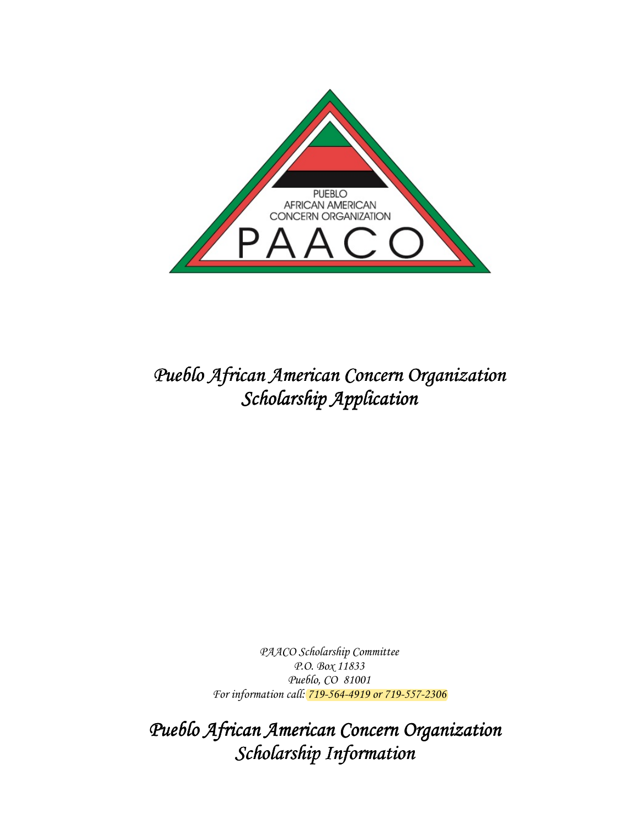

## Pueblo African American Concern Organization Scholarship Application

PAACO Scholarship Committee P.O. Box 11833 Pueblo, CO 81001 For information call: 719-564-4919 or 719-557-2306

Pueblo African American Concern Organization Scholarship Information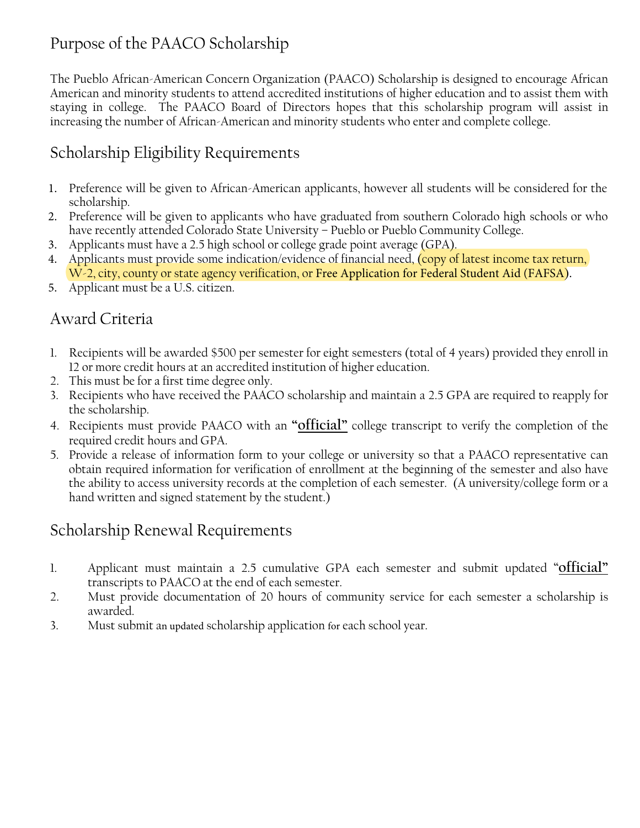### Purpose of the PAACO Scholarship

The Pueblo African-American Concern Organization (PAACO) Scholarship is designed to encourage African American and minority students to attend accredited institutions of higher education and to assist them with staying in college. The PAACO Board of Directors hopes that this scholarship program will assist in increasing the number of African-American and minority students who enter and complete college.

#### Scholarship Eligibility Requirements

- 1. Preference will be given to African-American applicants, however all students will be considered for the scholarship.
- 2. Preference will be given to applicants who have graduated from southern Colorado high schools or who have recently attended Colorado State University - Pueblo or Pueblo Community College.
- 3. Applicants must have a 2.5 high school or college grade point average (GPA).
- 4. Applicants must provide some indication/evidence of financial need, (copy of latest income tax return, W-2, city, county or state agency verification, or Free Application for Federal Student Aid (FAFSA).
- 5. Applicant must be a U.S. citizen.

#### Award Criteria

- 1. Recipients will be awarded \$500 per semester for eight semesters (total of 4 years) provided they enroll in 12 or more credit hours at an accredited institution of higher education.
- 2. This must be for a first time degree only.
- 3. Recipients who have received the PAACO scholarship and maintain a 2.5 GPA are required to reapply for the scholarship.
- 4. Recipients must provide PAACO with an "official" college transcript to verify the completion of the required credit hours and GPA.
- 5. Provide a release of information form to your college or university so that a PAACO representative can obtain required information for verification of enrollment at the beginning of the semester and also have the ability to access university records at the completion of each semester. (A university/college form or a hand written and signed statement by the student.)

#### Scholarship Renewal Requirements

- 1. Applicant must maintain a 2.5 cumulative GPA each semester and submit updated "**official**" transcripts to PAACO at the end of each semester.
- 2. Must provide documentation of 20 hours of community service for each semester a scholarship is awarded.
- 3. Must submit an updated scholarship application for each school year.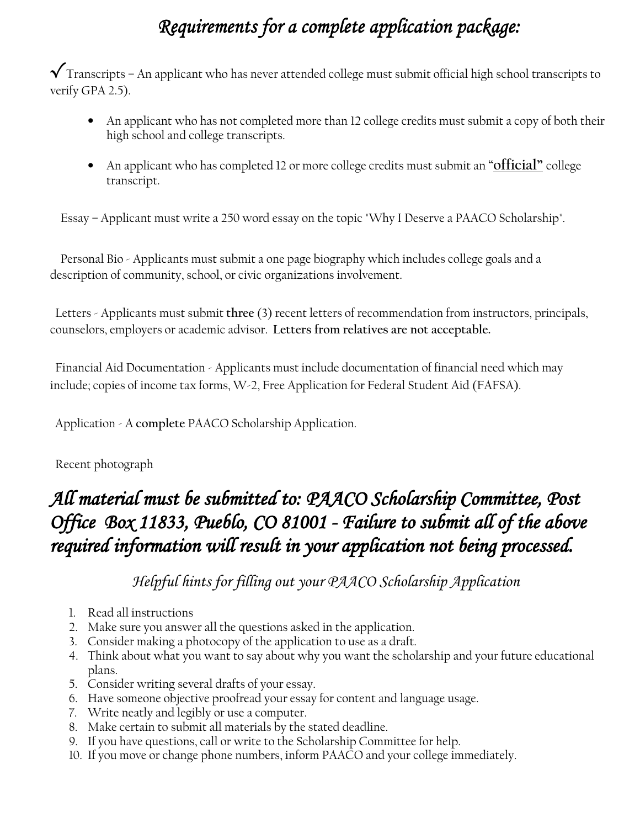# Requirements for a complete application package:

 $\boldsymbol{\checkmark}$  Transcripts – An applicant who has never attended college must submit official high school transcripts to verify GPA 2.5).

- An applicant who has not completed more than 12 college credits must submit a copy of both their high school and college transcripts.
- An applicant who has completed 12 or more college credits must submit an "**official**" college transcript.

Essay – Applicant must write a 250 word essay on the topic "Why I Deserve a PAACO Scholarship".

Personal Bio - Applicants must submit a one page biography which includes college goals and a description of community, school, or civic organizations involvement.

Letters - Applicants must submit three (3) recent letters of recommendation from instructors, principals, counselors, employers or academic advisor. Letters from relatives are not acceptable.

Financial Aid Documentation - Applicants must include documentation of financial need which may include; copies of income tax forms, W-2, Free Application for Federal Student Aid (FAFSA).

Application - A complete PAACO Scholarship Application.

Recent photograph

### *All material must be submitted to: PAACO Scholarship Committee, Post Office Box 11833, Pueblo, CO 81001 - Failure to submit all of the above required information will result in your application not being processed.*

Helpful hints for filling out your PAACO Scholarship Application

- 1. Read all instructions
- 2. Make sure you answer all the questions asked in the application.
- 3. Consider making a photocopy of the application to use as a draft.
- 4. Think about what you want to say about why you want the scholarship and your future educational plans.
- 5. Consider writing several drafts of your essay.
- 6. Have someone objective proofread your essay for content and language usage.
- 7. Write neatly and legibly or use a computer.
- 8. Make certain to submit all materials by the stated deadline.
- 9. If you have questions, call or write to the Scholarship Committee for help.
- 10. If you move or change phone numbers, inform PAACO and your college immediately.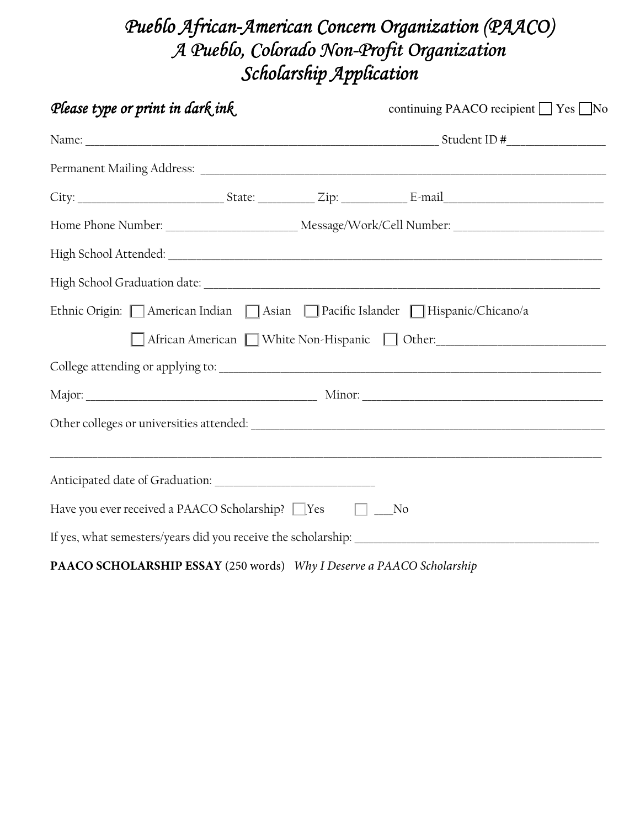### Pueblo African-American Concern Organization (PAACO) A Pueblo, Colorado Non-Profit Organization Scholarship Application

| Please type or print in dark ink                                      | continuing PAACO recipient □ Yes □ No                                    |
|-----------------------------------------------------------------------|--------------------------------------------------------------------------|
|                                                                       |                                                                          |
|                                                                       |                                                                          |
|                                                                       |                                                                          |
|                                                                       |                                                                          |
|                                                                       |                                                                          |
|                                                                       |                                                                          |
|                                                                       | Ethnic Origin: American Indian Asian Pacific Islander Hispanic/Chicano/a |
|                                                                       | African American Nihite Non-Hispanic Nother: 1997 Mars                   |
|                                                                       |                                                                          |
|                                                                       |                                                                          |
|                                                                       |                                                                          |
|                                                                       |                                                                          |
| Have you ever received a PAACO Scholarship? ■ Yes □ ■ No              |                                                                          |
|                                                                       |                                                                          |
| PAACO SCHOLARSHIP ESSAY (250 words) Why I Deserve a PAACO Scholarship |                                                                          |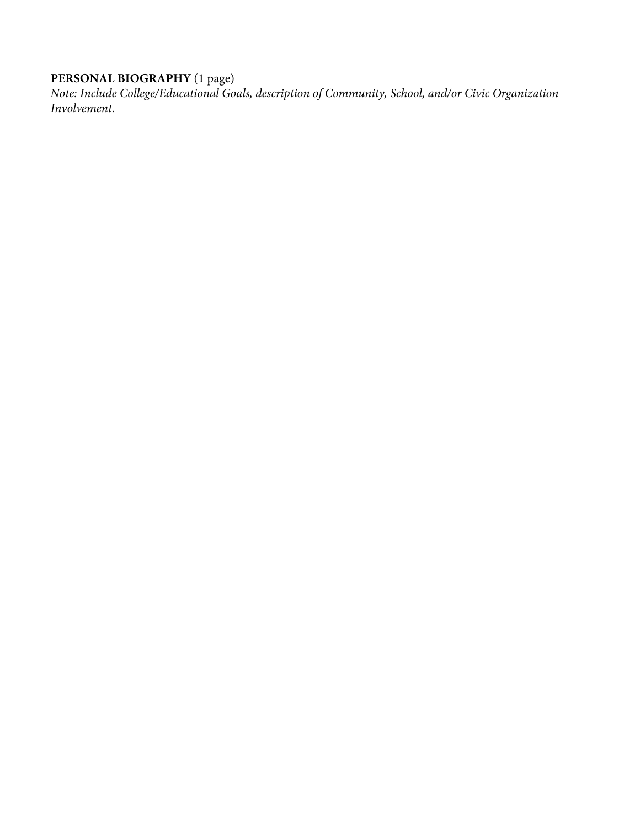#### **PERSONAL BIOGRAPHY** (1 page)

*Note: Include College/Educational Goals, description of Community, School, and/or Civic Organization Involvement.*